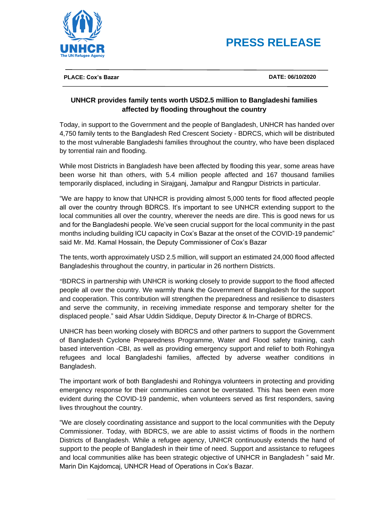



**PLACE: Cox's Bazar DATE: 06/10/2020**

## **UNHCR provides family tents worth USD2.5 million to Bangladeshi families affected by flooding throughout the country**

Today, in support to the Government and the people of Bangladesh, UNHCR has handed over 4,750 family tents to the Bangladesh Red Crescent Society - BDRCS, which will be distributed to the most vulnerable Bangladeshi families throughout the country, who have been displaced by torrential rain and flooding.

While most Districts in Bangladesh have been affected by flooding this year, some areas have been worse hit than others, with 5.4 million people affected and 167 thousand families temporarily displaced, including in Sirajganj, Jamalpur and Rangpur Districts in particular.

"We are happy to know that UNHCR is providing almost 5,000 tents for flood affected people all over the country through BDRCS. It's important to see UNHCR extending support to the local communities all over the country, wherever the needs are dire. This is good news for us and for the Bangladeshi people. We've seen crucial support for the local community in the past months including building ICU capacity in Cox's Bazar at the onset of the COVID-19 pandemic" said Mr. Md. Kamal Hossain, the Deputy Commissioner of Cox's Bazar

The tents, worth approximately USD 2.5 million, will support an estimated 24,000 flood affected Bangladeshis throughout the country, in particular in 26 northern Districts.

"BDRCS in partnership with UNHCR is working closely to provide support to the flood affected people all over the country. We warmly thank the Government of Bangladesh for the support and cooperation. This contribution will strengthen the preparedness and resilience to disasters and serve the community, in receiving immediate response and temporary shelter for the displaced people." said Afsar Uddin Siddique, Deputy Director & In-Charge of BDRCS.

UNHCR has been working closely with BDRCS and other partners to support the Government of Bangladesh Cyclone Preparedness Programme, Water and Flood safety training, cash based intervention -CBI, as well as providing emergency support and relief to both Rohingya refugees and local Bangladeshi families, affected by adverse weather conditions in Bangladesh.

The important work of both Bangladeshi and Rohingya volunteers in protecting and providing emergency response for their communities cannot be overstated. This has been even more evident during the COVID-19 pandemic, when volunteers served as first responders, saving lives throughout the country.

"We are closely coordinating assistance and support to the local communities with the Deputy Commissioner. Today, with BDRCS, we are able to assist victims of floods in the northern Districts of Bangladesh. While a refugee agency, UNHCR continuously extends the hand of support to the people of Bangladesh in their time of need. Support and assistance to refugees and local communities alike has been strategic objective of UNHCR in Bangladesh " said Mr. Marin Din Kajdomcaj, UNHCR Head of Operations in Cox's Bazar.